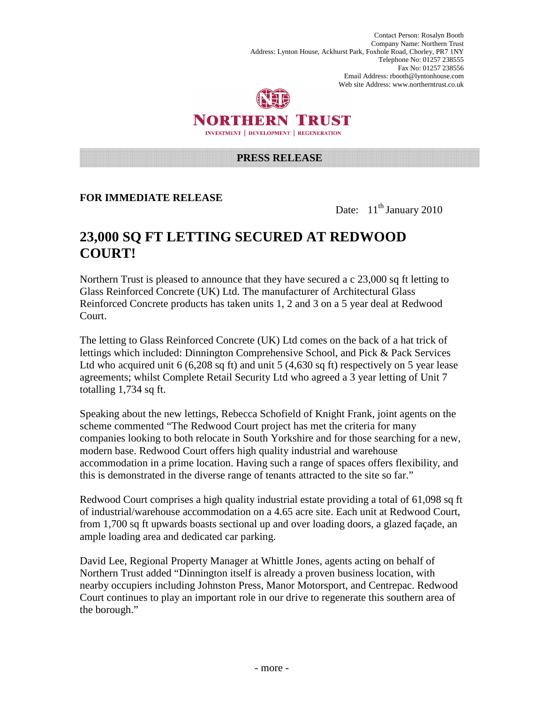Contact Person: Rosalyn Booth Company Name: Northern Trust Address: Lynton House, Ackhurst Park, Foxhole Road, Chorley, PR7 1NY Telephone No: 01257 238555 Fax No: 01257 238556 Email Address: rbooth@lyntonhouse.com Web site Address: www.northerntrust.co.uk



## NORTHERN TRUST INVESTMENT | DEVELOPMENT | REGENERATION

#### **PRESS RELEASE**

### **FOR IMMEDIATE RELEASE**

Date:  $11<sup>th</sup>$  January 2010

# **23,000 SQ FT LETTING SECURED AT REDWOOD COURT!**

Northern Trust is pleased to announce that they have secured a c 23,000 sq ft letting to Glass Reinforced Concrete (UK) Ltd. The manufacturer of Architectural Glass Reinforced Concrete products has taken units 1, 2 and 3 on a 5 year deal at Redwood Court.

The letting to Glass Reinforced Concrete (UK) Ltd comes on the back of a hat trick of lettings which included: Dinnington Comprehensive School, and Pick & Pack Services Ltd who acquired unit 6 (6,208 sq ft) and unit 5 (4,630 sq ft) respectively on 5 year lease agreements; whilst Complete Retail Security Ltd who agreed a 3 year letting of Unit 7 totalling 1,734 sq ft.

Speaking about the new lettings, Rebecca Schofield of Knight Frank, joint agents on the scheme commented "The Redwood Court project has met the criteria for many companies looking to both relocate in South Yorkshire and for those searching for a new, modern base. Redwood Court offers high quality industrial and warehouse accommodation in a prime location. Having such a range of spaces offers flexibility, and this is demonstrated in the diverse range of tenants attracted to the site so far."

Redwood Court comprises a high quality industrial estate providing a total of 61,098 sq ft of industrial/warehouse accommodation on a 4.65 acre site. Each unit at Redwood Court, from 1,700 sq ft upwards boasts sectional up and over loading doors, a glazed façade, an ample loading area and dedicated car parking.

David Lee, Regional Property Manager at Whittle Jones, agents acting on behalf of Northern Trust added "Dinnington itself is already a proven business location, with nearby occupiers including Johnston Press, Manor Motorsport, and Centrepac. Redwood Court continues to play an important role in our drive to regenerate this southern area of the borough."